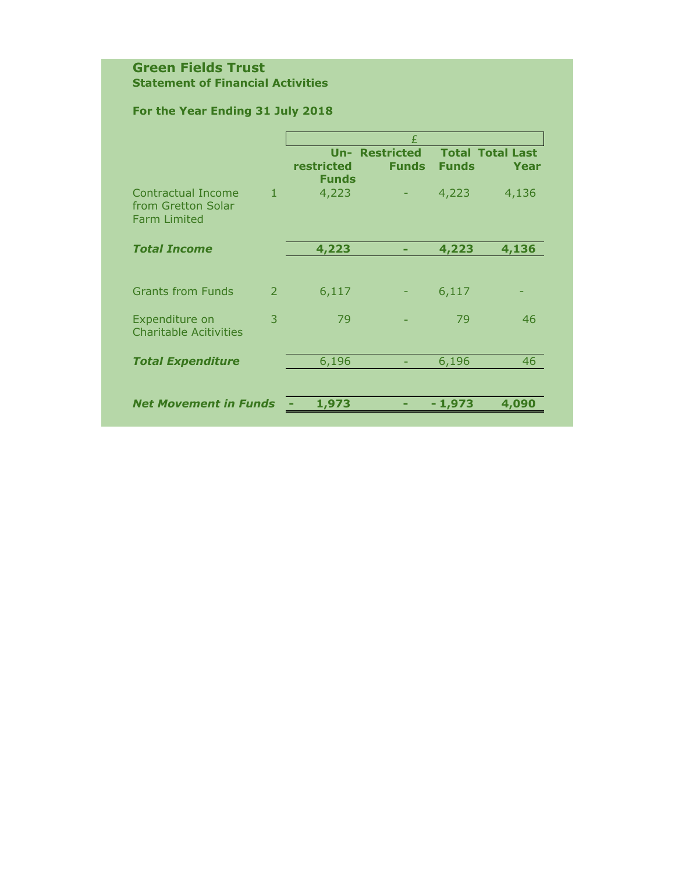### **Green Fields Trust Statement of Financial Activities**

# **For the Year Ending 31 July 2018**

| <b>Un- Restricted</b><br><b>Total Total Last</b><br>restricted<br><b>Funds</b><br><b>Funds</b><br>Funds<br>4,223<br>Contractual Income<br>$\mathbf{1}$<br>4,223<br>4,136<br>from Gretton Solar<br><b>Farm Limited</b><br>4,223<br><b>Total Income</b><br>4,223<br>4,136<br><b>Grants from Funds</b><br>6,117<br>6,117<br>2<br>3<br>79<br>79<br>Expenditure on<br><b>Charitable Acitivities</b> | £    |  |  |  |  |
|------------------------------------------------------------------------------------------------------------------------------------------------------------------------------------------------------------------------------------------------------------------------------------------------------------------------------------------------------------------------------------------------|------|--|--|--|--|
|                                                                                                                                                                                                                                                                                                                                                                                                |      |  |  |  |  |
|                                                                                                                                                                                                                                                                                                                                                                                                | Year |  |  |  |  |
|                                                                                                                                                                                                                                                                                                                                                                                                |      |  |  |  |  |
|                                                                                                                                                                                                                                                                                                                                                                                                |      |  |  |  |  |
|                                                                                                                                                                                                                                                                                                                                                                                                |      |  |  |  |  |
|                                                                                                                                                                                                                                                                                                                                                                                                |      |  |  |  |  |
|                                                                                                                                                                                                                                                                                                                                                                                                |      |  |  |  |  |
|                                                                                                                                                                                                                                                                                                                                                                                                | 46   |  |  |  |  |
|                                                                                                                                                                                                                                                                                                                                                                                                |      |  |  |  |  |
| 6,196<br>6,196<br><b>Total Expenditure</b>                                                                                                                                                                                                                                                                                                                                                     | 46   |  |  |  |  |
|                                                                                                                                                                                                                                                                                                                                                                                                |      |  |  |  |  |
| <b>Net Movement in Funds</b><br>4,090<br>1,973<br>- 1,973                                                                                                                                                                                                                                                                                                                                      |      |  |  |  |  |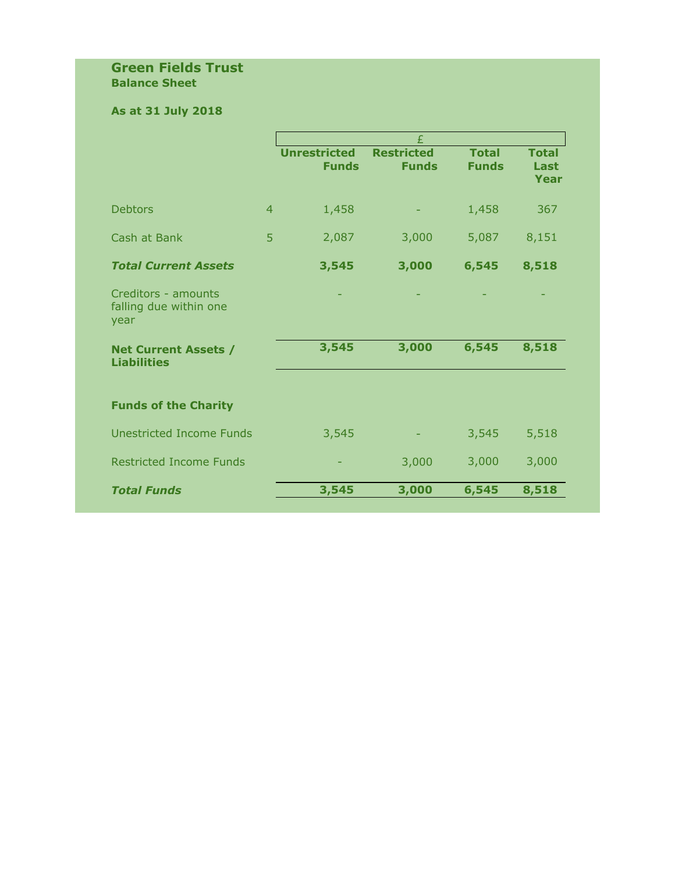### **Green Fields Trust Balance Sheet**

# **As at 31 July 2018**

|                                                       |                |                                     | £                                 |                              |                              |
|-------------------------------------------------------|----------------|-------------------------------------|-----------------------------------|------------------------------|------------------------------|
|                                                       |                | <b>Unrestricted</b><br><b>Funds</b> | <b>Restricted</b><br><b>Funds</b> | <b>Total</b><br><b>Funds</b> | <b>Total</b><br>Last<br>Year |
| <b>Debtors</b>                                        | $\overline{4}$ | 1,458                               |                                   | 1,458                        | 367                          |
| Cash at Bank                                          | 5              | 2,087                               | 3,000                             | 5,087                        | 8,151                        |
| <b>Total Current Assets</b>                           |                | 3,545                               | 3,000                             | 6,545                        | 8,518                        |
| Creditors - amounts<br>falling due within one<br>year |                |                                     |                                   |                              |                              |
| <b>Net Current Assets /</b><br><b>Liabilities</b>     |                | 3,545                               | 3,000                             | 6,545                        | 8,518                        |
| <b>Funds of the Charity</b>                           |                |                                     |                                   |                              |                              |
| <b>Unestricted Income Funds</b>                       |                | 3,545                               |                                   | 3,545                        | 5,518                        |
| <b>Restricted Income Funds</b>                        |                |                                     | 3,000                             | 3,000                        | 3,000                        |
| <b>Total Funds</b>                                    |                | 3,545                               | 3,000                             | 6,545                        | 8,518                        |